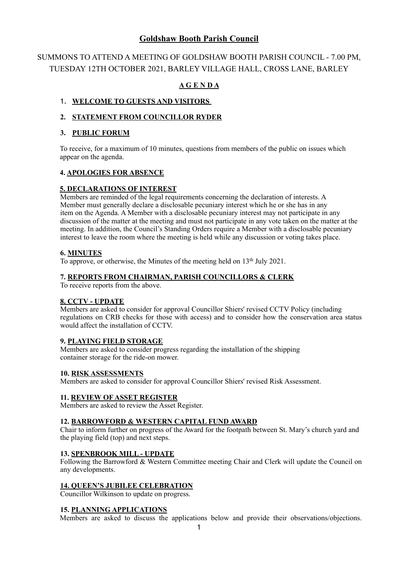# **Goldshaw Booth Parish Council**

# SUMMONS TO ATTEND A MEETING OF GOLDSHAW BOOTH PARISH COUNCIL - 7.00 PM, TUESDAY 12TH OCTOBER 2021, BARLEY VILLAGE HALL, CROSS LANE, BARLEY

## **A G E N D A**

### 1. **WELCOME TO GUESTS AND VISITORS**

### **2. STATEMENT FROM COUNCILLOR RYDER**

### **3. PUBLIC FORUM**

To receive, for a maximum of 10 minutes, questions from members of the public on issues which appear on the agenda.

### **4. APOLOGIES FOR ABSENCE**

### **5. DECLARATIONS OF INTEREST**

 Members are reminded of the legal requirements concerning the declaration of interests. A Member must generally declare a disclosable pecuniary interest which he or she has in any item on the Agenda. A Member with a disclosable pecuniary interest may not participate in any discussion of the matter at the meeting and must not participate in any vote taken on the matter at the meeting. In addition, the Council's Standing Orders require a Member with a disclosable pecuniary interest to leave the room where the meeting is held while any discussion or voting takes place.

### **6. MINUTES**

To approve, or otherwise, the Minutes of the meeting held on 13th July 2021.

### **7. REPORTS FROM CHAIRMAN, PARISH COUNCILLORS & CLERK**

To receive reports from the above.

### **8. CCTV - UPDATE**

Members are asked to consider for approval Councillor Shiers' revised CCTV Policy (including regulations on CRB checks for those with access) and to consider how the conservation area status would affect the installation of CCTV.

### **9. PLAYING FIELD STORAGE**

Members are asked to consider progress regarding the installation of the shipping container storage for the ride-on mower.

### **10. RISK ASSESSMENTS**

Members are asked to consider for approval Councillor Shiers' revised Risk Assessment.

### **11. REVIEW OF ASSET REGISTER**

Members are asked to review the Asset Register.

### **12. BARROWFORD & WESTERN CAPITAL FUND AWARD**

 Chair to inform further on progress of the Award for the footpath between St. Mary's church yard and the playing field (top) and next steps.

### **13. SPENBROOK MILL - UPDATE**

Following the Barrowford & Western Committee meeting Chair and Clerk will update the Council on any developments.

### **14. QUEEN'S JUBILEE CELEBRATION**

Councillor Wilkinson to update on progress.

### **15. PLANNING APPLICATIONS**

Members are asked to discuss the applications below and provide their observations/objections.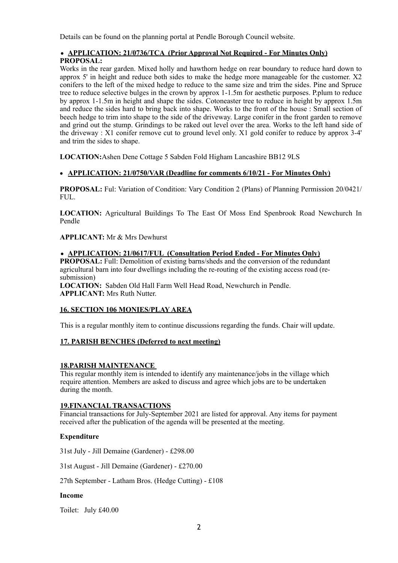Details can be found on the planning portal at Pendle Borough Council website.

### • **APPLICATION: 21/0736/TCA (Prior Approval Not Required - For Minutes Only) PROPOSAL:**

Works in the rear garden. Mixed holly and hawthorn hedge on rear boundary to reduce hard down to approx 5' in height and reduce both sides to make the hedge more manageable for the customer. X2 conifers to the left of the mixed hedge to reduce to the same size and trim the sides. Pine and Spruce tree to reduce selective bulges in the crown by approx 1-1.5m for aesthetic purposes. P.plum to reduce by approx 1-1.5m in height and shape the sides. Cotoneaster tree to reduce in height by approx 1.5m and reduce the sides hard to bring back into shape. Works to the front of the house : Small section of beech hedge to trim into shape to the side of the driveway. Large conifer in the front garden to remove and grind out the stump. Grindings to be raked out level over the area. Works to the left hand side of the driveway : X1 conifer remove cut to ground level only. X1 gold conifer to reduce by approx 3-4' and trim the sides to shape.

**LOCATION:**Ashen Dene Cottage 5 Sabden Fold Higham Lancashire BB12 9LS

### **• APPLICATION: 21/0750/VAR (Deadline for comments 6/10/21 - For Minutes Only)**

**PROPOSAL:** Ful: Variation of Condition: Vary Condition 2 (Plans) of Planning Permission 20/0421/ FUL.

**LOCATION:** Agricultural Buildings To The East Of Moss End Spenbrook Road Newchurch In Pendle

### **APPLICANT:** Mr & Mrs Dewhurst

• **APPLICATION: 21/0617/FUL (Consultation Period Ended - For Minutes Only) PROPOSAL:** Full: Demolition of existing barns/sheds and the conversion of the redundant agricultural barn into four dwellings including the re-routing of the existing access road (resubmission)

**LOCATION:** Sabden Old Hall Farm Well Head Road, Newchurch in Pendle. **APPLICANT:** Mrs Ruth Nutter.

### **16. SECTION 106 MONIES/PLAY AREA**

This is a regular monthly item to continue discussions regarding the funds. Chair will update.

### **17. PARISH BENCHES (Deferred to next meeting)**

### **18.PARISH MAINTENANCE**

 This regular monthly item is intended to identify any maintenance/jobs in the village which require attention. Members are asked to discuss and agree which jobs are to be undertaken during the month.

### **19.FINANCIAL TRANSACTIONS**

Financial transactions for July-September 2021 are listed for approval. Any items for payment received after the publication of the agenda will be presented at the meeting.

### **Expenditure**

31st July - Jill Demaine (Gardener) - £298.00

31st August - Jill Demaine (Gardener) - £270.00

27th September - Latham Bros. (Hedge Cutting) - £108

#### **Income**

Toilet: July £40.00